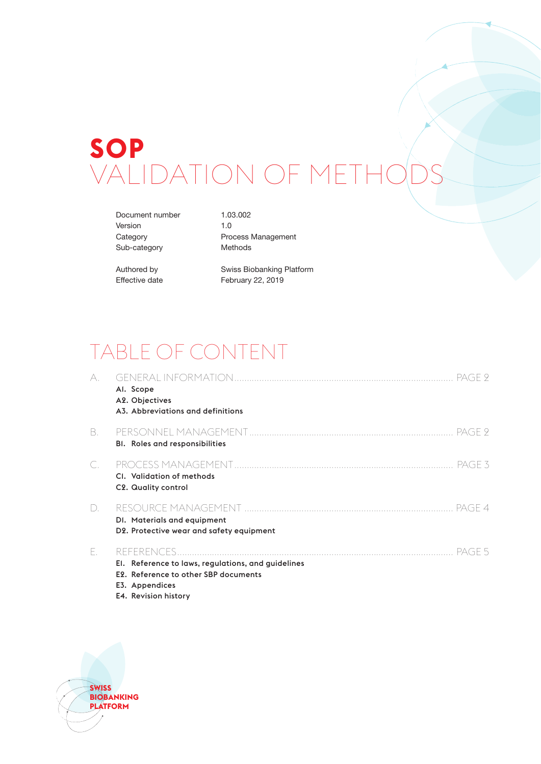# **SOP** VALIDATION OF METHODS

Document number 1.03.002 Version 1.0 Sub-category Methods

Category **Process Management** 

Authored by Swiss Biobanking Platform Effective date February 22, 2019

# TABLE OF CONTENT

| А. | PAGE 2<br>Al. Scope<br>A2. Objectives<br>A3. Abbreviations and definitions                                                                     |
|----|------------------------------------------------------------------------------------------------------------------------------------------------|
| B. | PAGE 9<br><b>BI.</b> Roles and responsibilities                                                                                                |
| C. | PAGE 3<br>CI. Validation of methods<br>C2. Quality control                                                                                     |
| D. | DI. Materials and equipment<br>D2. Protective wear and safety equipment                                                                        |
| Е. | PAGE 5<br>El. Reference to laws, regulations, and guidelines<br>E2. Reference to other SBP documents<br>E3. Appendices<br>E4. Revision history |

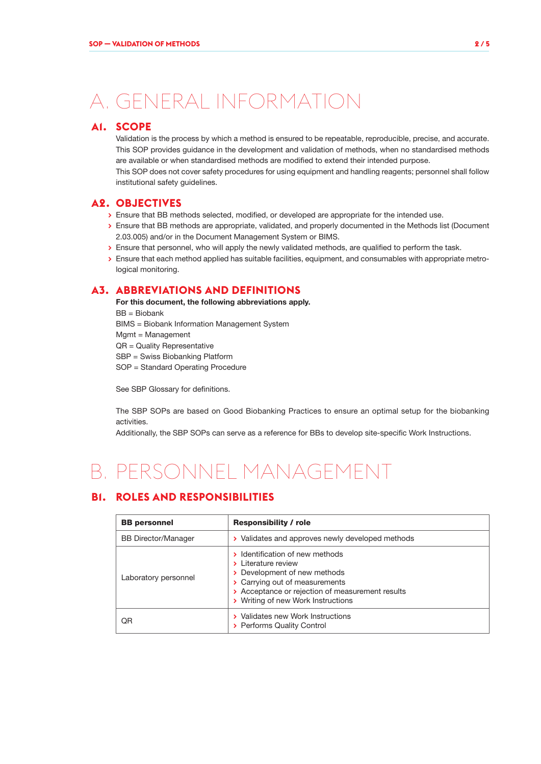# A. GENERAL INFORMATION

### **A1. SCOPE**

Validation is the process by which a method is ensured to be repeatable, reproducible, precise, and accurate. This SOP provides guidance in the development and validation of methods, when no standardised methods are available or when standardised methods are modified to extend their intended purpose.

This SOP does not cover safety procedures for using equipment and handling reagents; personnel shall follow institutional safety guidelines.

## **A2. OBJECTIVES**

- **>** Ensure that BB methods selected, modified, or developed are appropriate for the intended use.
- **>** Ensure that BB methods are appropriate, validated, and properly documented in the Methods list (Document 2.03.005) and/or in the Document Management System or BIMS.
- **>** Ensure that personnel, who will apply the newly validated methods, are qualified to perform the task.
- **>** Ensure that each method applied has suitable facilities, equipment, and consumables with appropriate metrological monitoring.

## **A3. ABBREVIATIONS AND DEFINITIONS**

For this document, the following abbreviations apply. BB = Biobank BIMS = Biobank Information Management System Mgmt = Management QR = Quality Representative SBP = Swiss Biobanking Platform SOP = Standard Operating Procedure

See SBP Glossary for definitions.

The SBP SOPs are based on Good Biobanking Practices to ensure an optimal setup for the biobanking activities.

Additionally, the SBP SOPs can serve as a reference for BBs to develop site-specific Work Instructions.

# B. PERSONNEL MANAGEMENT

# **B1. ROLES AND RESPONSIBILITIES**

| <b>BB</b> personnel        | <b>Responsibility / role</b>                                                                                                                                                                                       |  |  |
|----------------------------|--------------------------------------------------------------------------------------------------------------------------------------------------------------------------------------------------------------------|--|--|
| <b>BB Director/Manager</b> | > Validates and approves newly developed methods                                                                                                                                                                   |  |  |
| Laboratory personnel       | > Identification of new methods<br>> Literature review<br>> Development of new methods<br>> Carrying out of measurements<br>> Acceptance or rejection of measurement results<br>> Writing of new Work Instructions |  |  |
| ΟR                         | > Validates new Work Instructions<br>> Performs Quality Control                                                                                                                                                    |  |  |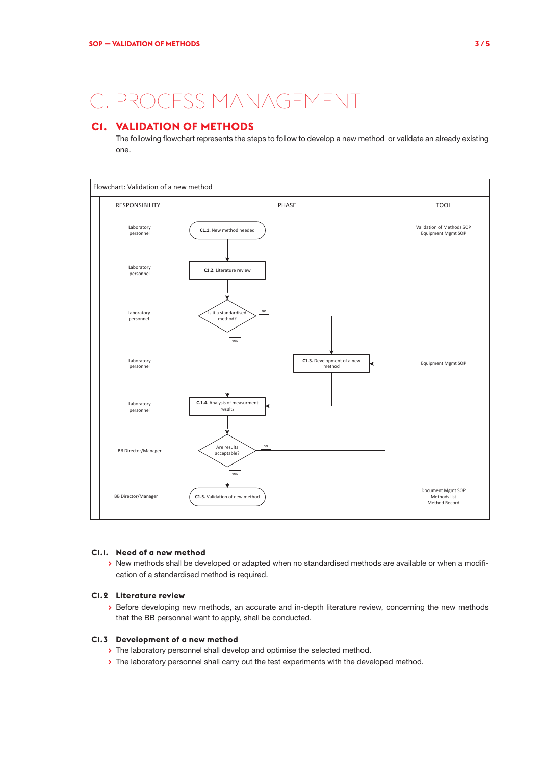# C. PROCESS MANAGEMENT

# **C1. VALIDATION OF METHODS**

The following flowchart represents the steps to follow to develop a new method or validate an already existing one.



#### **C1.1. Need of a new method**

**>** New methods shall be developed or adapted when no standardised methods are available or when a modification of a standardised method is required.

#### **C1.2 Literature review**

**>** Before developing new methods, an accurate and in-depth literature review, concerning the new methods that the BB personnel want to apply, shall be conducted.

#### **C1.3 Development of a new method**

- **>** The laboratory personnel shall develop and optimise the selected method.
- **>** The laboratory personnel shall carry out the test experiments with the developed method.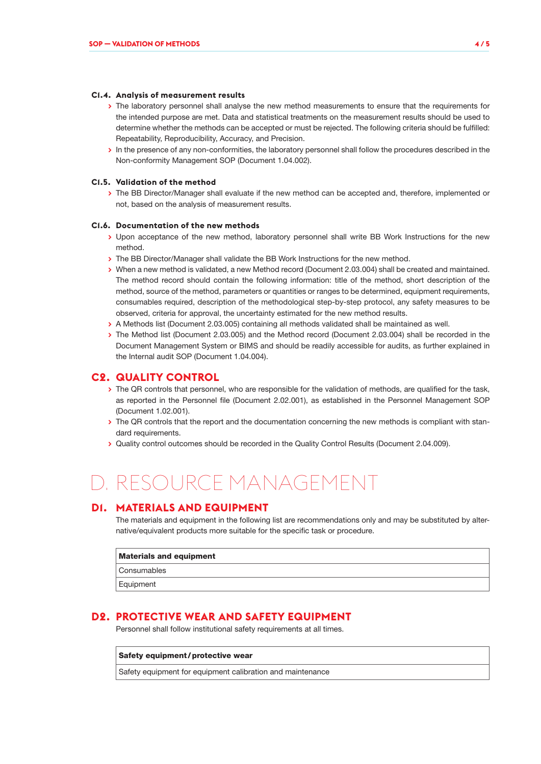#### **C1.4. Analysis of measurement results**

- **>** The laboratory personnel shall analyse the new method measurements to ensure that the requirements for the intended purpose are met. Data and statistical treatments on the measurement results should be used to determine whether the methods can be accepted or must be rejected. The following criteria should be fulfilled: Repeatability, Reproducibility, Accuracy, and Precision.
- **>** In the presence of any non-conformities, the laboratory personnel shall follow the procedures described in the Non-conformity Management SOP (Document 1.04.002).

#### **C1.5. Validation of the method**

**>** The BB Director/Manager shall evaluate if the new method can be accepted and, therefore, implemented or not, based on the analysis of measurement results.

#### **C1.6. Documentation of the new methods**

- **>** Upon acceptance of the new method, laboratory personnel shall write BB Work Instructions for the new method.
- **>** The BB Director/Manager shall validate the BB Work Instructions for the new method.
- **>** When a new method is validated, a new Method record (Document 2.03.004) shall be created and maintained. The method record should contain the following information: title of the method, short description of the method, source of the method, parameters or quantities or ranges to be determined, equipment requirements, consumables required, description of the methodological step-by-step protocol, any safety measures to be observed, criteria for approval, the uncertainty estimated for the new method results.
- **>** A Methods list (Document 2.03.005) containing all methods validated shall be maintained as well.
- **>** The Method list (Document 2.03.005) and the Method record (Document 2.03.004) shall be recorded in the Document Management System or BIMS and should be readily accessible for audits, as further explained in the Internal audit SOP (Document 1.04.004).

### **C2. QUALITY CONTROL**

- **>** The QR controls that personnel, who are responsible for the validation of methods, are qualified for the task, as reported in the Personnel file (Document 2.02.001), as established in the Personnel Management SOP (Document 1.02.001).
- **>** The QR controls that the report and the documentation concerning the new methods is compliant with standard requirements.
- **>** Quality control outcomes should be recorded in the Quality Control Results (Document 2.04.009).

# D. RESOURCE MANAGEMENT

### **D1. MATERIALS AND EQUIPMENT**

The materials and equipment in the following list are recommendations only and may be substituted by alternative/equivalent products more suitable for the specific task or procedure.

| <b>Materials and equipment</b> |  |  |
|--------------------------------|--|--|
| Consumables                    |  |  |
| Equipment                      |  |  |

### **D2. PROTECTIVE WEAR AND SAFETY EQUIPMENT**

Personnel shall follow institutional safety requirements at all times.

Safety equipment / protective wear

Safety equipment for equipment calibration and maintenance